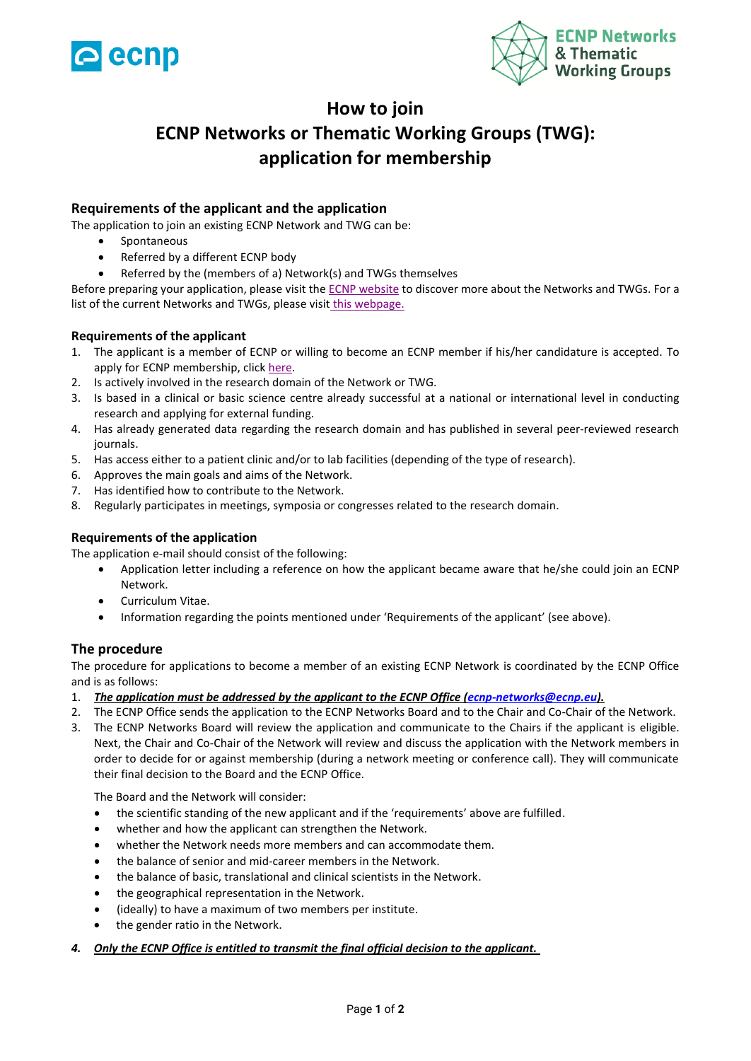



## **How to join**

# **ECNP Networks or Thematic Working Groups (TWG): application for membership**

### **Requirements of the applicant and the application**

The application to join an existing ECNP Network and TWG can be:

- Spontaneous
- Referred by a different ECNP body
- Referred by the (members of a) Network(s) and TWGs themselves

Before preparing your application, please visit the [ECNP website](https://www.ecnp.eu/research-innovation/networks-thematic-working-groups) to discover more about the Networks and TWGs. For a list of the current Networks and TWGs, please visit [this webpage.](https://www.ecnp.eu/research-innovation/networks-thematic-working-groups/List-ECNP-Networks)

#### **Requirements of the applicant**

- 1. The applicant is a member of ECNP or willing to become an ECNP member if his/her candidature is accepted. To apply for ECNP membership, click [here.](https://www.ecnp.eu/about-ecnp/membership.aspx)
- 2. Is actively involved in the research domain of the Network or TWG.
- 3. Is based in a clinical or basic science centre already successful at a national or international level in conducting research and applying for external funding.
- 4. Has already generated data regarding the research domain and has published in several peer-reviewed research journals.
- 5. Has access either to a patient clinic and/or to lab facilities (depending of the type of research).
- 6. Approves the main goals and aims of the Network.
- 7. Has identified how to contribute to the Network.
- 8. Regularly participates in meetings, symposia or congresses related to the research domain.

#### **Requirements of the application**

The application e-mail should consist of the following:

- Application letter including a reference on how the applicant became aware that he/she could join an ECNP Network.
- Curriculum Vitae.
- Information regarding the points mentioned under 'Requirements of the applicant' (see above).

#### **The procedure**

The procedure for applications to become a member of an existing ECNP Network is coordinated by the ECNP Office and is as follows:

- 1. *The application must be addressed by the applicant to the ECNP Office [\(ecnp-networks@ecnp.eu\)](mailto:ecnp-networks@ecnp.eu).*
- 2. The ECNP Office sends the application to the ECNP Networks Board and to the Chair and Co-Chair of the Network.
- 3. The ECNP Networks Board will review the application and communicate to the Chairs if the applicant is eligible. Next, the Chair and Co-Chair of the Network will review and discuss the application with the Network members in order to decide for or against membership (during a network meeting or conference call). They will communicate their final decision to the Board and the ECNP Office.

The Board and the Network will consider:

- the scientific standing of the new applicant and if the 'requirements' above are fulfilled.
- whether and how the applicant can strengthen the Network.
- whether the Network needs more members and can accommodate them.
- the balance of senior and mid-career members in the Network.
- the balance of basic, translational and clinical scientists in the Network.
- the geographical representation in the Network.
- (ideally) to have a maximum of two members per institute.
- the gender ratio in the Network.
- *4. Only the ECNP Office is entitled to transmit the final official decision to the applicant.*